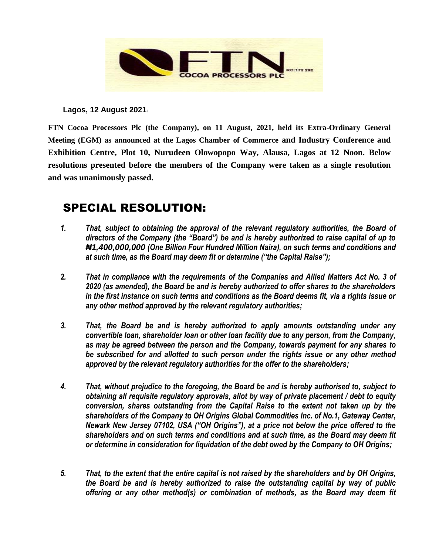

**Lagos, 12 August 2021:** 

**FTN Cocoa Processors Plc (the Company), on 11 August, 2021, held its Extra-Ordinary General Meeting (EGM) as announced at the Lagos Chamber of Commerce and Industry Conference and Exhibition Centre, Plot 10, Nurudeen Olowopopo Way, Alausa, Lagos at 12 Noon. Below resolutions presented before the members of the Company were taken as a single resolution and was unanimously passed.** 

## SPECIAL RESOLUTION:

- *1. That, subject to obtaining the approval of the relevant regulatory authorities, the Board of directors of the Company (the "Board") be and is hereby authorized to raise capital of up to ₦1,400,000,000 (One Billion Four Hundred Million Naira), on such terms and conditions and at such time, as the Board may deem fit or determine ("the Capital Raise");*
- *2. That in compliance with the requirements of the Companies and Allied Matters Act No. 3 of 2020 (as amended), the Board be and is hereby authorized to offer shares to the shareholders in the first instance on such terms and conditions as the Board deems fit, via a rights issue or any other method approved by the relevant regulatory authorities;*
- *3. That, the Board be and is hereby authorized to apply amounts outstanding under any convertible loan, shareholder loan or other loan facility due to any person, from the Company, as may be agreed between the person and the Company, towards payment for any shares to be subscribed for and allotted to such person under the rights issue or any other method approved by the relevant regulatory authorities for the offer to the shareholders;*
- *4. That, without prejudice to the foregoing, the Board be and is hereby authorised to, subject to obtaining all requisite regulatory approvals, allot by way of private placement / debt to equity conversion, shares outstanding from the Capital Raise to the extent not taken up by the shareholders of the Company to OH Origins Global Commodities Inc. of No.1, Gateway Center, Newark New Jersey 07102, USA ("OH Origins"), at a price not below the price offered to the shareholders and on such terms and conditions and at such time, as the Board may deem fit or determine in consideration for liquidation of the debt owed by the Company to OH Origins;*
- *5. That, to the extent that the entire capital is not raised by the shareholders and by OH Origins, the Board be and is hereby authorized to raise the outstanding capital by way of public offering or any other method(s) or combination of methods, as the Board may deem fit*